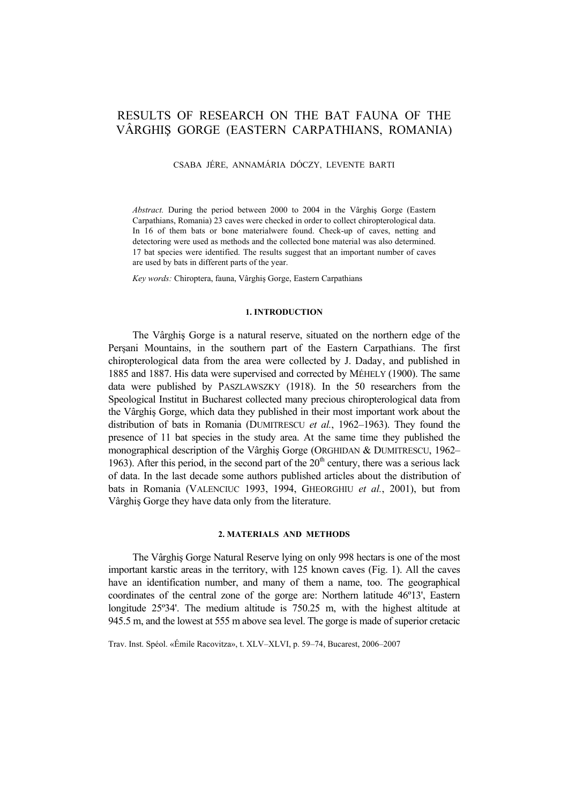# RESULTS OF RESEARCH ON THE BAT FAUNA OF THE VÂRGHIŞ GORGE (EASTERN CARPATHIANS, ROMANIA)

CSABA JÉRE, ANNAMÁRIA DÓCZY, LEVENTE BARTI

*Abstract.* During the period between 2000 to 2004 in the Vârghiş Gorge (Eastern Carpathians, Romania) 23 caves were checked in order to collect chiropterological data. In 16 of them bats or bone materialwere found. Check-up of caves, netting and detectoring were used as methods and the collected bone material was also determined. 17 bat species were identified. The results suggest that an important number of caves are used by bats in different parts of the year.

*Key words:* Chiroptera, fauna, Vârghiş Gorge, Eastern Carpathians

# **1. INTRODUCTION**

The Vârghiş Gorge is a natural reserve, situated on the northern edge of the Perşani Mountains, in the southern part of the Eastern Carpathians. The first chiropterological data from the area were collected by J. Daday, and published in 1885 and 1887. His data were supervised and corrected by MÉHELY (1900). The same data were published by PASZLAWSZKY (1918). In the 50 researchers from the Speological Institut in Bucharest collected many precious chiropterological data from the Vârghiş Gorge, which data they published in their most important work about the distribution of bats in Romania (DUMITRESCU *et al.*, 1962–1963). They found the presence of 11 bat species in the study area. At the same time they published the monographical description of the Vârghiş Gorge (ORGHIDAN & DUMITRESCU, 1962– 1963). After this period, in the second part of the  $20<sup>th</sup>$  century, there was a serious lack of data. In the last decade some authors published articles about the distribution of bats in Romania (VALENCIUC 1993, 1994, GHEORGHIU *et al.*, 2001), but from Vârghiş Gorge they have data only from the literature.

# **2. MATERIALS AND METHODS**

The Vârghiş Gorge Natural Reserve lying on only 998 hectars is one of the most important karstic areas in the territory, with 125 known caves (Fig. 1). All the caves have an identification number, and many of them a name, too. The geographical coordinates of the central zone of the gorge are: Northern latitude 46º13', Eastern longitude 25º34'. The medium altitude is 750.25 m, with the highest altitude at 945.5 m, and the lowest at 555 m above sea level. The gorge is made of superior cretacic

Trav. Inst. Spéol. «Émile Racovitza», t. XLV–XLVI, p. 59–74, Bucarest, 2006–2007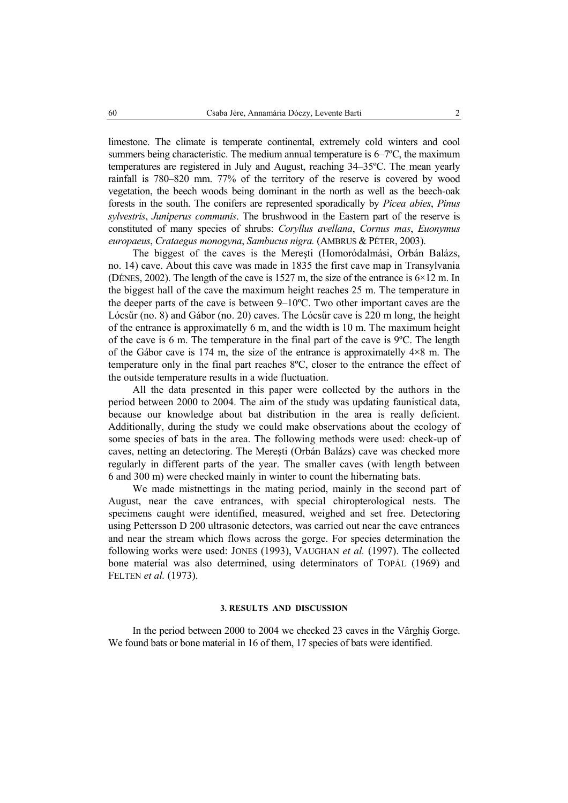limestone. The climate is temperate continental, extremely cold winters and cool summers being characteristic. The medium annual temperature is 6–7ºC, the maximum temperatures are registered in July and August, reaching 34–35ºC. The mean yearly rainfall is 780–820 mm. 77% of the territory of the reserve is covered by wood vegetation, the beech woods being dominant in the north as well as the beech-oak forests in the south. The conifers are represented sporadically by *Picea abies*, *Pinus sylvestris*, *Juniperus communis*. The brushwood in the Eastern part of the reserve is constituted of many species of shrubs: *Coryllus avellana*, *Cornus mas*, *Euonymus europaeus*, *Crataegus monogyna*, *Sambucus nigra.* (AMBRUS & PÉTER, 2003).

The biggest of the caves is the Mereşti (Homoródalmási, Orbán Balázs, no. 14) cave. About this cave was made in 1835 the first cave map in Transylvania (DÉNES, 2002). The length of the cave is 1527 m, the size of the entrance is  $6 \times 12$  m. In the biggest hall of the cave the maximum height reaches 25 m. The temperature in the deeper parts of the cave is between 9–10ºC. Two other important caves are the Lócsűr (no. 8) and Gábor (no. 20) caves. The Lócsűr cave is 220 m long, the height of the entrance is approximatelly 6 m, and the width is 10 m. The maximum height of the cave is 6 m. The temperature in the final part of the cave is  $9^{\circ}$ C. The length of the Gábor cave is 174 m, the size of the entrance is approximatelly  $4\times8$  m. The temperature only in the final part reaches 8ºC, closer to the entrance the effect of the outside temperature results in a wide fluctuation.

All the data presented in this paper were collected by the authors in the period between 2000 to 2004. The aim of the study was updating faunistical data, because our knowledge about bat distribution in the area is really deficient. Additionally, during the study we could make observations about the ecology of some species of bats in the area. The following methods were used: check-up of caves, netting an detectoring. The Mereşti (Orbán Balázs) cave was checked more regularly in different parts of the year. The smaller caves (with length between 6 and 300 m) were checked mainly in winter to count the hibernating bats.

We made mistnettings in the mating period, mainly in the second part of August, near the cave entrances, with special chiropterological nests. The specimens caught were identified, measured, weighed and set free. Detectoring using Pettersson D 200 ultrasonic detectors, was carried out near the cave entrances and near the stream which flows across the gorge. For species determination the following works were used: JONES (1993), VAUGHAN *et al.* (1997). The collected bone material was also determined, using determinators of TOPÁL (1969) and FELTEN *et al.* (1973).

### **3. RESULTS AND DISCUSSION**

In the period between 2000 to 2004 we checked 23 caves in the Vârghiş Gorge. We found bats or bone material in 16 of them, 17 species of bats were identified.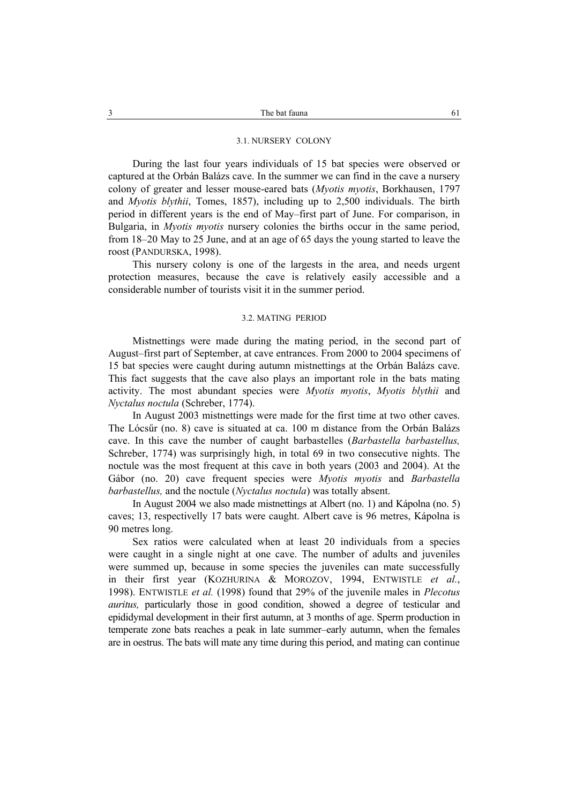# 3.1. NURSERY COLONY

During the last four years individuals of 15 bat species were observed or captured at the Orbán Balázs cave. In the summer we can find in the cave a nursery colony of greater and lesser mouse-eared bats (*Myotis myotis*, Borkhausen, 1797 and *Myotis blythii*, Tomes, 1857), including up to 2,500 individuals. The birth period in different years is the end of May–first part of June. For comparison, in Bulgaria, in *Myotis myotis* nursery colonies the births occur in the same period, from 18–20 May to 25 June, and at an age of 65 days the young started to leave the roost (PANDURSKA, 1998).

This nursery colony is one of the largests in the area, and needs urgent protection measures, because the cave is relatively easily accessible and a considerable number of tourists visit it in the summer period.

# 3.2. MATING PERIOD

Mistnettings were made during the mating period, in the second part of August–first part of September, at cave entrances. From 2000 to 2004 specimens of 15 bat species were caught during autumn mistnettings at the Orbán Balázs cave. This fact suggests that the cave also plays an important role in the bats mating activity. The most abundant species were *Myotis myotis*, *Myotis blythii* and *Nyctalus noctula* (Schreber, 1774).

In August 2003 mistnettings were made for the first time at two other caves. The Lócsűr (no. 8) cave is situated at ca. 100 m distance from the Orbán Balázs cave. In this cave the number of caught barbastelles (*Barbastella barbastellus,*  Schreber, 1774) was surprisingly high, in total 69 in two consecutive nights. The noctule was the most frequent at this cave in both years (2003 and 2004). At the Gábor (no. 20) cave frequent species were *Myotis myotis* and *Barbastella barbastellus,* and the noctule (*Nyctalus noctula*) was totally absent.

In August 2004 we also made mistnettings at Albert (no. 1) and Kápolna (no. 5) caves; 13, respectivelly 17 bats were caught. Albert cave is 96 metres, Kápolna is 90 metres long.

Sex ratios were calculated when at least 20 individuals from a species were caught in a single night at one cave. The number of adults and juveniles were summed up, because in some species the juveniles can mate successfully in their first year (KOZHURINA & MOROZOV, 1994, ENTWISTLE *et al.*, 1998). ENTWISTLE *et al.* (1998) found that 29% of the juvenile males in *Plecotus auritus,* particularly those in good condition, showed a degree of testicular and epididymal development in their first autumn, at 3 months of age. Sperm production in temperate zone bats reaches a peak in late summer–early autumn, when the females are in oestrus. The bats will mate any time during this period, and mating can continue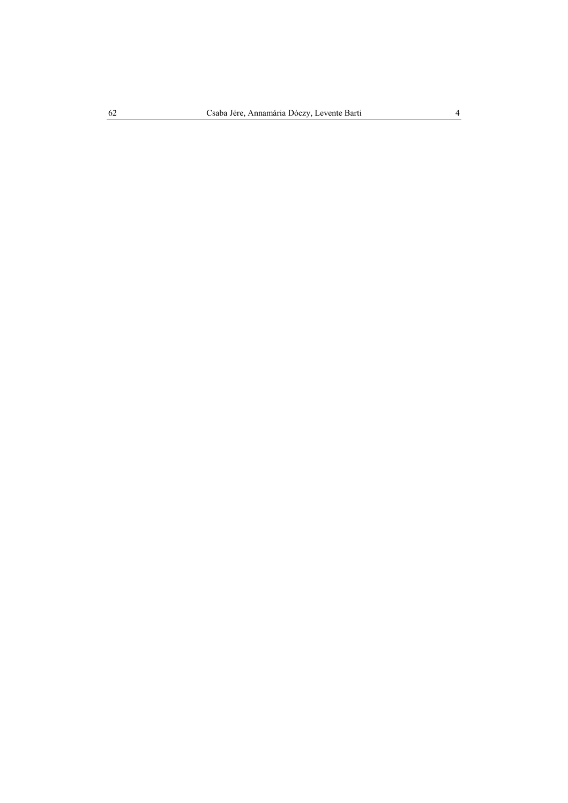62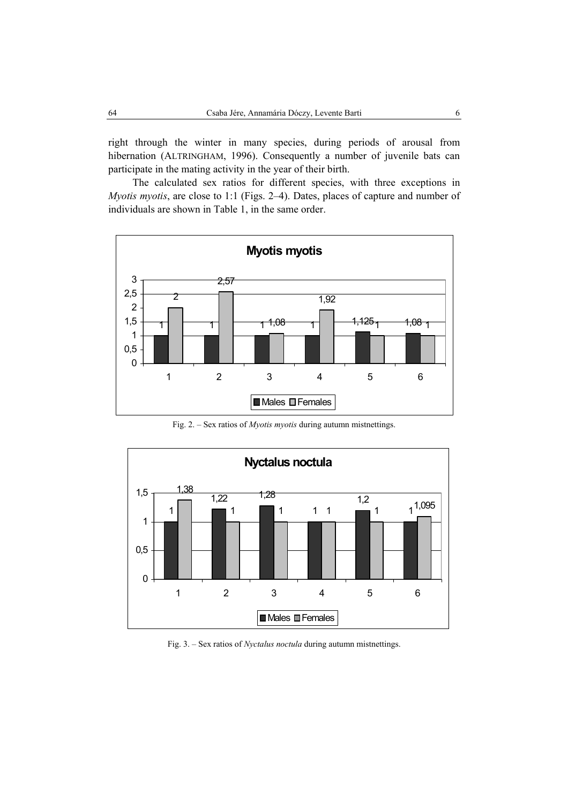right through the winter in many species, during periods of arousal from hibernation (ALTRINGHAM, 1996). Consequently a number of juvenile bats can participate in the mating activity in the year of their birth.

The calculated sex ratios for different species, with three exceptions in *Myotis myotis*, are close to 1:1 (Figs. 2–4). Dates, places of capture and number of individuals are shown in Table 1, in the same order.



Fig. 2. – Sex ratios of *Myotis myotis* during autumn mistnettings.



Fig. 3. – Sex ratios of *Nyctalus noctula* during autumn mistnettings.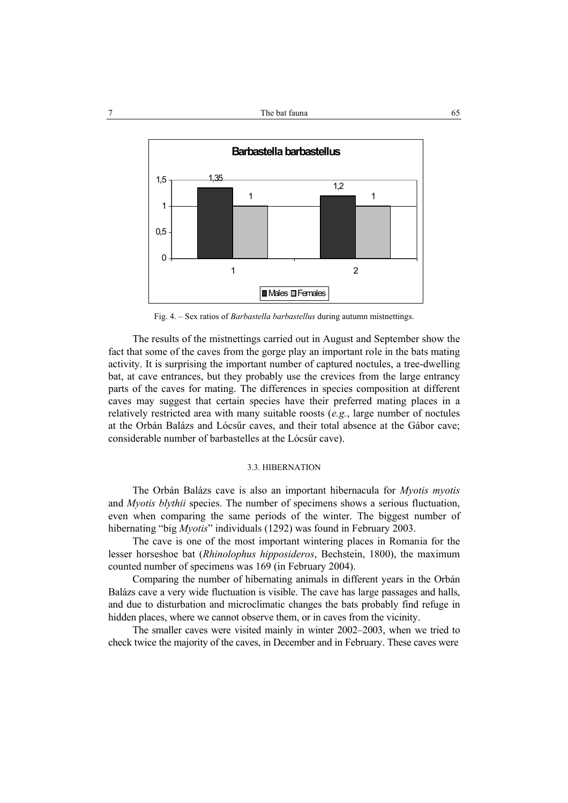

Fig. 4. – Sex ratios of *Barbastella barbastellus* during autumn mistnettings.

The results of the mistnettings carried out in August and September show the fact that some of the caves from the gorge play an important role in the bats mating activity. It is surprising the important number of captured noctules, a tree-dwelling bat, at cave entrances, but they probably use the crevices from the large entrancy parts of the caves for mating. The differences in species composition at different caves may suggest that certain species have their preferred mating places in a relatively restricted area with many suitable roosts (*e.g.*, large number of noctules at the Orbán Balázs and Lócsűr caves, and their total absence at the Gábor cave; considerable number of barbastelles at the Lócsűr cave).

# 3.3. HIBERNATION

The Orbán Balázs cave is also an important hibernacula for *Myotis myotis* and *Myotis blythii* species. The number of specimens shows a serious fluctuation, even when comparing the same periods of the winter. The biggest number of hibernating "big *Myotis*" individuals (1292) was found in February 2003.

The cave is one of the most important wintering places in Romania for the lesser horseshoe bat (*Rhinolophus hipposideros*, Bechstein, 1800), the maximum counted number of specimens was 169 (in February 2004).

Comparing the number of hibernating animals in different years in the Orbán Balázs cave a very wide fluctuation is visible. The cave has large passages and halls, and due to disturbation and microclimatic changes the bats probably find refuge in hidden places, where we cannot observe them, or in caves from the vicinity.

The smaller caves were visited mainly in winter 2002–2003, when we tried to check twice the majority of the caves, in December and in February. These caves were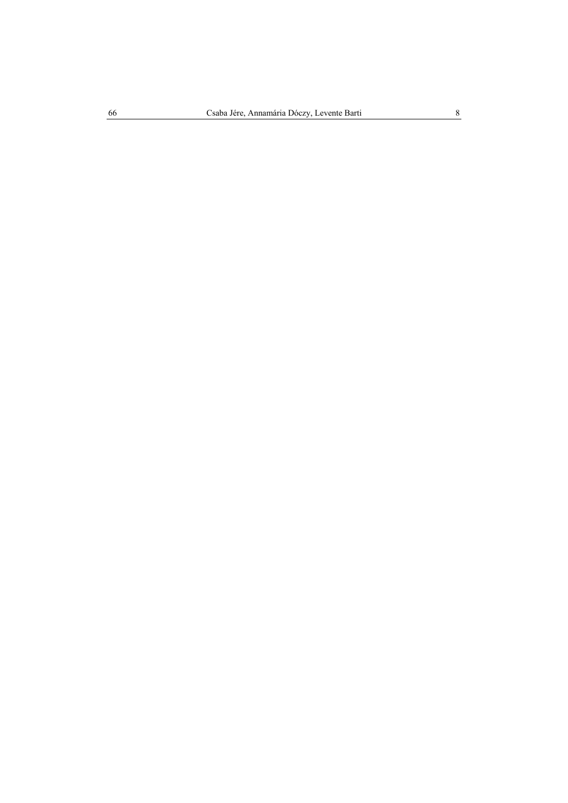66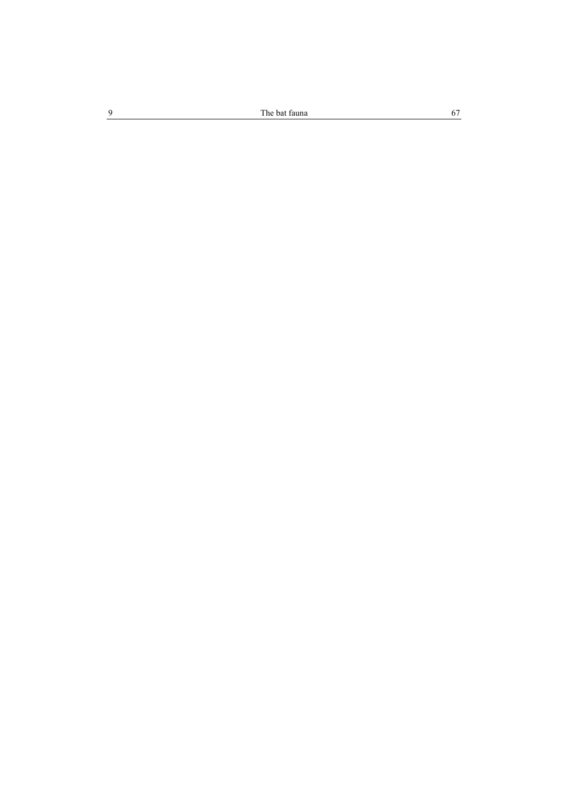$\frac{9}{2}$ 

<u> Alban Alban (</u>1985), provincia establecidade a contra a contra de la contra de la contra de la contra de la co<br>Establecidade de la contra de la contra de la contra de la contra de la contra de la contra de la contra de l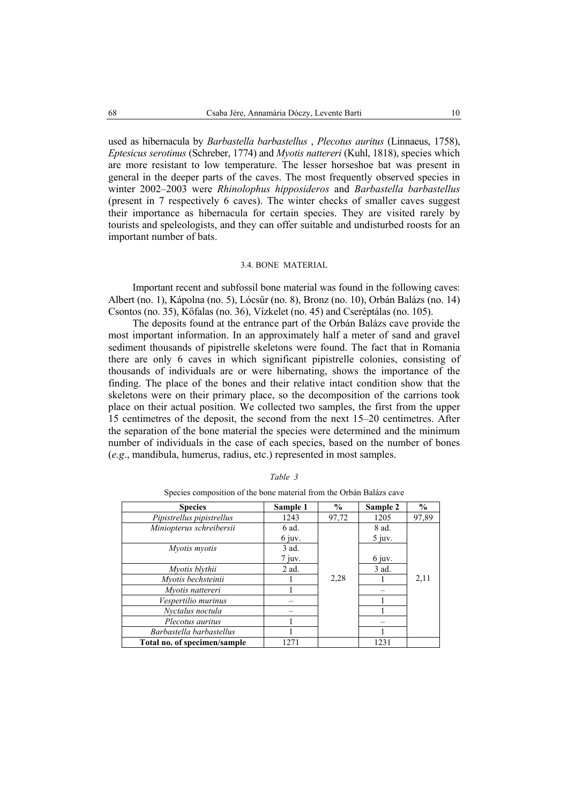used as hibernacula by *Barbastella barbastellus* , *Plecotus auritus* (Linnaeus, 1758), *Eptesicus serotinus* (Schreber, 1774) and *Myotis nattereri* (Kuhl, 1818), species which are more resistant to low temperature. The lesser horseshoe bat was present in general in the deeper parts of the caves. The most frequently observed species in winter 2002–2003 were *Rhinolophus hipposideros* and *Barbastella barbastellus*  (present in 7 respectively 6 caves). The winter checks of smaller caves suggest their importance as hibernacula for certain species. They are visited rarely by tourists and speleologists, and they can offer suitable and undisturbed roosts for an important number of bats.

# 3.4. BONE MATERIAL

Important recent and subfossil bone material was found in the following caves: Albert (no. 1), Kápolna (no. 5), Lócsűr (no. 8), Bronz (no. 10), Orbán Balázs (no. 14) Csontos (no. 35), Kőfalas (no. 36), Vízkelet (no. 45) and Cseréptálas (no. 105).

The deposits found at the entrance part of the Orbán Balázs cave provide the most important information. In an approximately half a meter of sand and gravel sediment thousands of pipistrelle skeletons were found. The fact that in Romania there are only 6 caves in which significant pipistrelle colonies, consisting of thousands of individuals are or were hibernating, shows the importance of the finding. The place of the bones and their relative intact condition show that the skeletons were on their primary place, so the decomposition of the carrions took place on their actual position. We collected two samples, the first from the upper 15 centimetres of the deposit, the second from the next 15–20 centimetres. After the separation of the bone material the species were determined and the minimum number of individuals in the case of each species, based on the number of bones (*e.g*., mandibula, humerus, radius, etc.) represented in most samples.

| <b>Species</b>               | Sample 1 | $\frac{0}{0}$ | Sample 2 | $\%$  |  |
|------------------------------|----------|---------------|----------|-------|--|
| Pipistrellus pipistrellus    | 1243     | 97,72         | 1205     | 97,89 |  |
| Miniopterus schreibersii     | 6 ad.    |               | 8 ad.    |       |  |
|                              | $6$ juv. |               | $5$ juv. |       |  |
| Myotis myotis                | 3 ad.    |               |          |       |  |
|                              | $7$ juv. |               | $6$ juv. |       |  |
| Myotis blythii               | 2 ad.    |               | 3 ad.    |       |  |
| Myotis bechsteinii           |          | 2,28          |          | 2,11  |  |
| Myotis nattereri             |          |               |          |       |  |
| Vespertilio murinus          |          |               |          |       |  |
| Nyctalus noctula             |          |               |          |       |  |
| Plecotus auritus             |          |               |          |       |  |
| Barbastella barbastellus     |          |               |          |       |  |
| Total no. of specimen/sample | 1271     |               | 1231     |       |  |

| Tabl |  |
|------|--|
|      |  |

Species composition of the bone material from the Orbán Balázs cave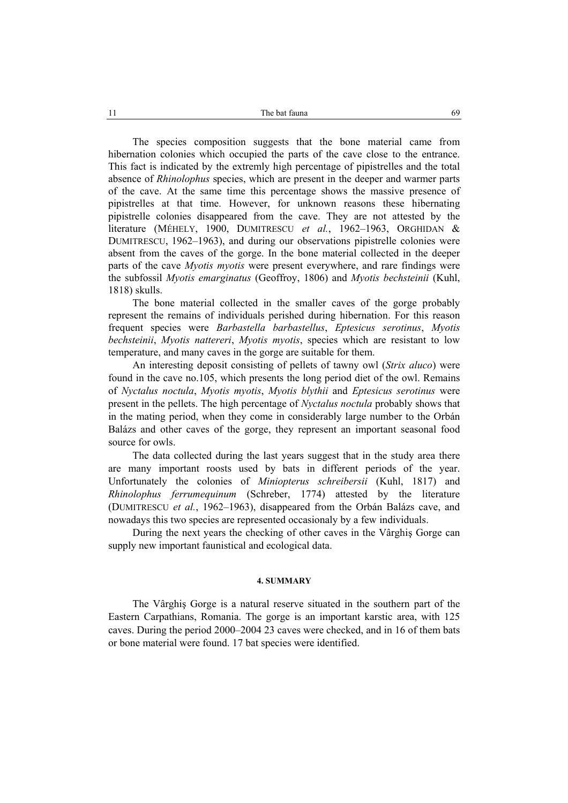The species composition suggests that the bone material came from hibernation colonies which occupied the parts of the cave close to the entrance. This fact is indicated by the extremly high percentage of pipistrelles and the total absence of *Rhinolophus* species, which are present in the deeper and warmer parts of the cave. At the same time this percentage shows the massive presence of pipistrelles at that time. However, for unknown reasons these hibernating pipistrelle colonies disappeared from the cave. They are not attested by the literature (MÉHELY, 1900, DUMITRESCU *et al.*, 1962–1963, ORGHIDAN & DUMITRESCU, 1962–1963), and during our observations pipistrelle colonies were absent from the caves of the gorge. In the bone material collected in the deeper parts of the cave *Myotis myotis* were present everywhere, and rare findings were the subfossil *Myotis emarginatus* (Geoffroy, 1806) and *Myotis bechsteinii* (Kuhl, 1818) skulls.

The bone material collected in the smaller caves of the gorge probably represent the remains of individuals perished during hibernation. For this reason frequent species were *Barbastella barbastellus*, *Eptesicus serotinus*, *Myotis bechsteinii*, *Myotis nattereri*, *Myotis myotis*, species which are resistant to low temperature, and many caves in the gorge are suitable for them.

An interesting deposit consisting of pellets of tawny owl (*Strix aluco*) were found in the cave no.105, which presents the long period diet of the owl. Remains of *Nyctalus noctula*, *Myotis myotis*, *Myotis blythii* and *Eptesicus serotinus* were present in the pellets. The high percentage of *Nyctalus noctula* probably shows that in the mating period, when they come in considerably large number to the Orbán Balázs and other caves of the gorge, they represent an important seasonal food source for owls.

The data collected during the last years suggest that in the study area there are many important roosts used by bats in different periods of the year. Unfortunately the colonies of *Miniopterus schreibersii* (Kuhl, 1817) and *Rhinolophus ferrumequinum* (Schreber, 1774) attested by the literature (DUMITRESCU *et al.*, 1962–1963), disappeared from the Orbán Balázs cave, and nowadays this two species are represented occasionaly by a few individuals.

During the next years the checking of other caves in the Vârghiş Gorge can supply new important faunistical and ecological data.

### **4. SUMMARY**

The Vârghiş Gorge is a natural reserve situated in the southern part of the Eastern Carpathians, Romania. The gorge is an important karstic area, with 125 caves. During the period 2000–2004 23 caves were checked, and in 16 of them bats or bone material were found. 17 bat species were identified.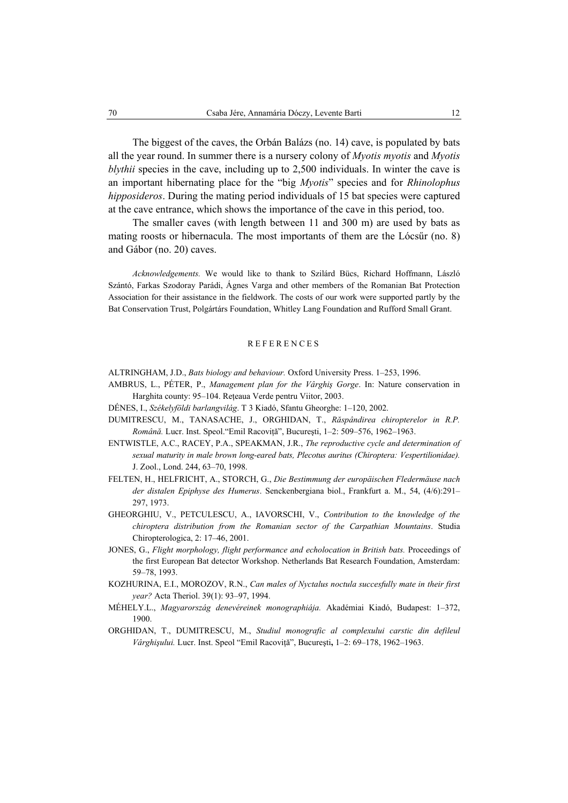The biggest of the caves, the Orbán Balázs (no. 14) cave, is populated by bats all the year round. In summer there is a nursery colony of *Myotis myotis* and *Myotis blythii* species in the cave, including up to 2,500 individuals. In winter the cave is an important hibernating place for the "big *Myotis*" species and for *Rhinolophus hipposideros*. During the mating period individuals of 15 bat species were captured at the cave entrance, which shows the importance of the cave in this period, too.

The smaller caves (with length between 11 and 300 m) are used by bats as mating roosts or hibernacula. The most importants of them are the Lócsűr (no. 8) and Gábor (no. 20) caves.

*Acknowledgements.* We would like to thank to Szilárd Bücs, Richard Hoffmann, László Szántó, Farkas Szodoray Parádi, Ágnes Varga and other members of the Romanian Bat Protection Association for their assistance in the fieldwork. The costs of our work were supported partly by the Bat Conservation Trust, Polgártárs Foundation, Whitley Lang Foundation and Rufford Small Grant.

## REFERENCES

ALTRINGHAM, J.D., *Bats biology and behaviour.* Oxford University Press. 1–253, 1996.

- AMBRUS, L., PÉTER, P., *Management plan for the Vârghiş Gorge*. In: Nature conservation in Harghita county: 95–104. Reteaua Verde pentru Viitor, 2003.
- DÉNES, I., *Székelyföldi barlangvilág*. T 3 Kiadó, Sfantu Gheorghe: 1–120, 2002.
- DUMITRESCU, M., TANASACHE, J., ORGHIDAN, T., *Răspândirea chiropterelor in R.P. Română.* Lucr. Inst. Speol."Emil Racoviţă", Bucureşti, 1–2: 509–576, 1962–1963.
- ENTWISTLE, A.C., RACEY, P.A., SPEAKMAN, J.R., *The reproductive cycle and determination of sexual maturity in male brown long-eared bats, Plecotus auritus (Chiroptera: Vespertilionidae).* J. Zool., Lond. 244, 63–70, 1998.
- FELTEN, H., HELFRICHT, A., STORCH, G., *Die Bestimmung der europäischen Fledermäuse nach der distalen Epiphyse des Humerus*. Senckenbergiana biol., Frankfurt a. M., 54, (4/6):291– 297, 1973.
- GHEORGHIU, V., PETCULESCU, A., IAVORSCHI, V., *Contribution to the knowledge of the chiroptera distribution from the Romanian sector of the Carpathian Mountains*. Studia Chiropterologica, 2: 17–46, 2001.
- JONES, G., *Flight morphology, flight performance and echolocation in British bats.* Proceedings of the first European Bat detector Workshop. Netherlands Bat Research Foundation, Amsterdam: 59–78, 1993.
- KOZHURINA, E.I., MOROZOV, R.N., *Can males of Nyctalus noctula succesfully mate in their first year?* Acta Theriol. 39(1): 93–97, 1994.
- MÉHELY.L., *Magyarország denevéreinek monographiája.* Akadémiai Kiadó, Budapest: 1–372, 1900.
- ORGHIDAN, T., DUMITRESCU, M., *Studiul monografic al complexului carstic din defileul Vârghişului.* Lucr. Inst. Speol "Emil Racoviţă", Bucureşti**,** 1–2: 69–178, 1962–1963.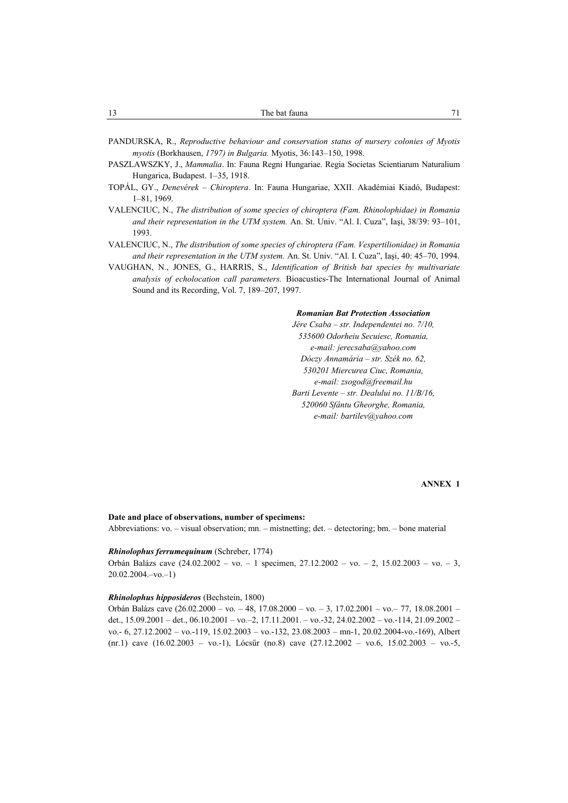| PANDURSKA, R., Reproductive behaviour and conservation status of nursery colonies of Myotis |                                                                         |  |  |  |  |
|---------------------------------------------------------------------------------------------|-------------------------------------------------------------------------|--|--|--|--|
|                                                                                             | <i>myotis</i> (Borkhausen, 1797) in Bulgaria. Myotis, 36:143–150, 1998. |  |  |  |  |

PASZLAWSZKY, J., *Mammalia*. In: Fauna Regni Hungariae. Regia Societas Scientiarum Naturalium Hungarica, Budapest. 1–35, 1918.

- TOPÁL, GY., *Denevérek Chiroptera*. In: Fauna Hungariae, XXII. Akadémiai Kiadó, Budapest: 1–81, 1969.
- VALENCIUC, N., *The distribution of some species of chiroptera (Fam. Rhinolophidae) in Romania and their representation in the UTM system.* An. St. Univ. "Al. I. Cuza", Iaşi, 38/39: 93–101, 1993.
- VALENCIUC, N., *The distribution of some species of chiroptera (Fam. Vespertilionidae) in Romania and their representation in the UTM system.* An. St. Univ. "Al. I. Cuza", Iaşi, 40: 45–70, 1994.
- VAUGHAN, N., JONES, G., HARRIS, S., *Identification of British bat species by multivariate analysis of echolocation call parameters.* Bioacustics-The International Journal of Animal Sound and its Recording, Vol. 7, 189–207, 1997.

#### *Romanian Bat Protection Association*

*Jére Csaba – str. Independentei no. 7/10, 535600 Odorheiu Secuiesc, Romania, e-mail: jerecsaba@yahoo.com Dóczy Annamária – str. Szék no. 62, 530201 Miercurea Ciuc, Romania, e-mail: zsogod@freemail.hu Barti Levente – str. Dealului no. 11/B/16, 520060 Sfântu Gheorghe, Romania, e-mail: bartilev@yahoo.com*

**ANNEX 1** 

### **Date and place of observations, number of specimens:**

Abbreviations: vo. – visual observation; mn. – mistnetting; det. – detectoring; bm. – bone material

### *Rhinolophus ferrumequinum* (Schreber, 1774)

Orbán Balázs cave (24.02.2002 – vo. – 1 specimen, 27.12.2002 – vo. – 2, 15.02.2003 – vo. – 3, 20.02.2004.–vo.–1)

#### *Rhinolophus hipposideros* (Bechstein, 1800)

Orbán Balázs cave (26.02.2000 – vo. – 48, 17.08.2000 – vo. – 3, 17.02.2001 – vo.– 77, 18.08.2001 – det., 15.09.2001 – det., 06.10.2001 – vo.–2, 17.11.2001. – vo.-32, 24.02.2002 – vo.-114, 21.09.2002 – vo.- 6, 27.12.2002 – vo.-119, 15.02.2003 – vo.-132, 23.08.2003 – mn-1, 20.02.2004-vo.-169), Albert (nr.1) cave (16.02.2003 – vo.-1), Lócsűr (no.8) cave (27.12.2002 – vo.6, 15.02.2003 – vo.-5,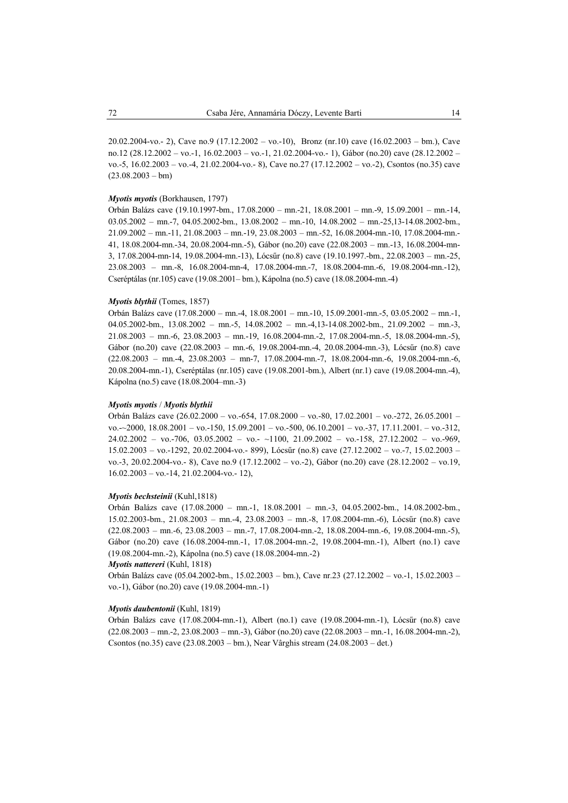20.02.2004-vo.- 2), Cave no.9 (17.12.2002 – vo.-10), Bronz (nr.10) cave (16.02.2003 – bm.), Cave no.12 (28.12.2002 – vo.-1, 16.02.2003 – vo.-1, 21.02.2004-vo.- 1), Gábor (no.20) cave (28.12.2002 – vo.-5, 16.02.2003 – vo.-4, 21.02.2004-vo.- 8), Cave no.27 (17.12.2002 – vo.-2), Csontos (no.35) cave  $(23.08.2003 - bm)$ 

#### *Myotis myotis* (Borkhausen, 1797)

Orbán Balázs cave (19.10.1997-bm., 17.08.2000 – mn.-21, 18.08.2001 – mn.-9, 15.09.2001 – mn.-14, 03.05.2002 – mn.-7, 04.05.2002-bm., 13.08.2002 – mn.-10, 14.08.2002 – mn.-25,13-14.08.2002-bm., 21.09.2002 – mn.-11, 21.08.2003 – mn.-19, 23.08.2003 – mn.-52, 16.08.2004-mn.-10, 17.08.2004-mn.- 41, 18.08.2004-mn.-34, 20.08.2004-mn.-5), Gábor (no.20) cave (22.08.2003 – mn.-13, 16.08.2004-mn-3, 17.08.2004-mn-14, 19.08.2004-mn.-13), Lócsűr (no.8) cave (19.10.1997.-bm., 22.08.2003 – mn.-25, 23.08.2003 – mn.-8, 16.08.2004-mn-4, 17.08.2004-mn.-7, 18.08.2004-mn.-6, 19.08.2004-mn.-12), Cseréptálas (nr.105) cave (19.08.2001– bm.), Kápolna (no.5) cave (18.08.2004-mn.-4)

#### *Myotis blythii* (Tomes, 1857)

Orbán Balázs cave (17.08.2000 – mn.-4, 18.08.2001 – mn.-10, 15.09.2001-mn.-5, 03.05.2002 – mn.-1, 04.05.2002-bm., 13.08.2002 – mn.-5, 14.08.2002 – mn.-4,13-14.08.2002-bm., 21.09.2002 – mn.-3, 21.08.2003 – mn.-6, 23.08.2003 – mn.-19, 16.08.2004-mn.-2, 17.08.2004-mn.-5, 18.08.2004-mn.-5), Gábor (no.20) cave (22.08.2003 – mn.-6, 19.08.2004-mn.-4, 20.08.2004-mn.-3), Lócsűr (no.8) cave (22.08.2003 – mn.-4, 23.08.2003 – mn-7, 17.08.2004-mn.-7, 18.08.2004-mn.-6, 19.08.2004-mn.-6, 20.08.2004-mn.-1), Cseréptálas (nr.105) cave (19.08.2001-bm.), Albert (nr.1) cave (19.08.2004-mn.-4), Kápolna (no.5) cave (18.08.2004–mn.-3)

#### *Myotis myotis* / *Myotis blythii*

Orbán Balázs cave (26.02.2000 – vo.-654, 17.08.2000 – vo.-80, 17.02.2001 – vo.-272, 26.05.2001 – vo.-~2000, 18.08.2001 – vo.-150, 15.09.2001 – vo.-500, 06.10.2001 – vo.-37, 17.11.2001. – vo.-312,  $24.02.2002 - \text{vo.}-706$ ,  $03.05.2002 - \text{vo.}-1100$ ,  $21.09.2002 - \text{vo.}-158$ ,  $27.12.2002 - \text{vo.}-969$ , 15.02.2003 – vo.-1292, 20.02.2004-vo.- 899), Lócsűr (no.8) cave (27.12.2002 – vo.-7, 15.02.2003 – vo.-3, 20.02.2004-vo.- 8), Cave no.9 (17.12.2002 – vo.-2), Gábor (no.20) cave (28.12.2002 – vo.19,  $16.02.2003 - \text{vo.-14}, 21.02.2004 - \text{vo.- 12}),$ 

#### *Myotis bechsteinii* (Kuhl,1818)

Orbán Balázs cave (17.08.2000 – mn.-1, 18.08.2001 – mn.-3, 04.05.2002-bm., 14.08.2002-bm., 15.02.2003-bm., 21.08.2003 – mn.-4, 23.08.2003 – mn.-8, 17.08.2004-mn.-6), Lócsűr (no.8) cave  $(22.08.2003 - \text{mn.}-6, 23.08.2003 - \text{mn.}-7, 17.08.2004 - \text{mn.}-2, 18.08.2004 - \text{mn.}-6, 19.08.2004 - \text{mn.}-5),$ Gábor (no.20) cave (16.08.2004-mn.-1, 17.08.2004-mn.-2, 19.08.2004-mn.-1), Albert (no.1) cave (19.08.2004-mn.-2), Kápolna (no.5) cave (18.08.2004-mn.-2)

#### *Myotis nattereri* (Kuhl, 1818)

Orbán Balázs cave (05.04.2002-bm., 15.02.2003 – bm.), Cave nr.23 (27.12.2002 – vo.-1, 15.02.2003 – vo.-1), Gábor (no.20) cave (19.08.2004-mn.-1)

### *Myotis daubentonii* (Kuhl, 1819)

Orbán Balázs cave (17.08.2004-mn.-1), Albert (no.1) cave (19.08.2004-mn.-1), Lócsűr (no.8) cave  $(22.08.2003 - \text{mn.} -2, 23.08.2003 - \text{mn.} -3),$  Gábor (no.20) cave  $(22.08.2003 - \text{mn.} -1, 16.08.2004 - \text{mn.} -2),$ Csontos (no.35) cave (23.08.2003 – bm.), Near Vârghis stream (24.08.2003 – det.)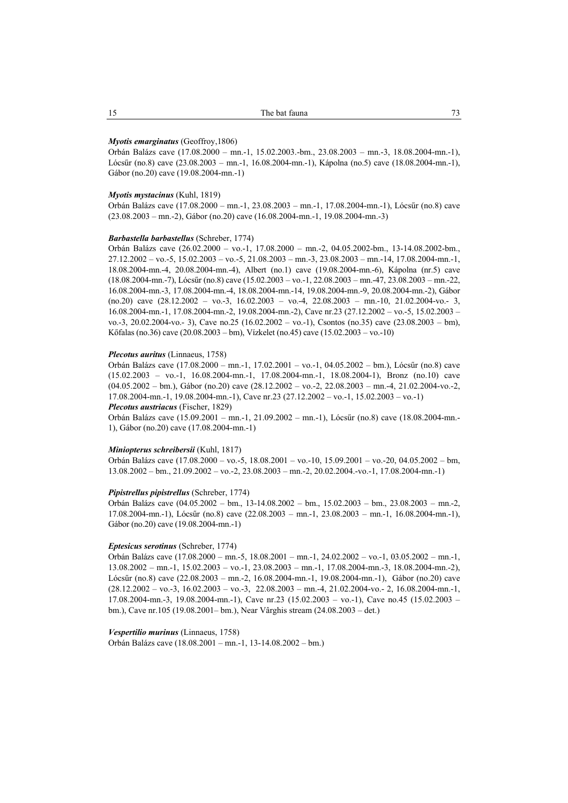#### *Myotis emarginatus* (Geoffroy,1806)

Orbán Balázs cave (17.08.2000 – mn.-1, 15.02.2003.-bm., 23.08.2003 – mn.-3, 18.08.2004-mn.-1), Lócsűr (no.8) cave (23.08.2003 – mn.-1, 16.08.2004-mn.-1), Kápolna (no.5) cave (18.08.2004-mn.-1), Gábor (no.20) cave (19.08.2004-mn.-1)

#### *Myotis mystacinus* (Kuhl, 1819)

Orbán Balázs cave (17.08.2000 – mn.-1, 23.08.2003 – mn.-1, 17.08.2004-mn.-1), Lócsűr (no.8) cave (23.08.2003 – mn.-2), Gábor (no.20) cave (16.08.2004-mn.-1, 19.08.2004-mn.-3)

### *Barbastella barbastellus* (Schreber, 1774)

Orbán Balázs cave (26.02.2000 – vo.-1, 17.08.2000 – mn.-2, 04.05.2002-bm., 13-14.08.2002-bm., 27.12.2002 – vo.-5, 15.02.2003 – vo.-5, 21.08.2003 – mn.-3, 23.08.2003 – mn.-14, 17.08.2004-mn.-1, 18.08.2004-mn.-4, 20.08.2004-mn.-4), Albert (no.1) cave (19.08.2004-mn.-6), Kápolna (nr.5) cave (18.08.2004-mn.-7), Lócsűr (no.8) cave (15.02.2003 – vo.-1, 22.08.2003 – mn.-47, 23.08.2003 – mn.-22, 16.08.2004-mn.-3, 17.08.2004-mn.-4, 18.08.2004-mn.-14, 19.08.2004-mn.-9, 20.08.2004-mn.-2), Gábor  $(no.20)$  cave  $(28.12.2002 - vo.-3, 16.02.2003 - vo.-4, 22.08.2003 - mn.-10, 21.02.2004-vo.-3,$ 16.08.2004-mn.-1, 17.08.2004-mn.-2, 19.08.2004-mn.-2), Cave nr.23 (27.12.2002 – vo.-5, 15.02.2003 – vo.-3, 20.02.2004-vo.- 3), Cave no.25 (16.02.2002 – vo.-1), Csontos (no.35) cave (23.08.2003 – bm), Kőfalas (no.36) cave (20.08.2003 – bm), Vízkelet (no.45) cave (15.02.2003 – vo.-10)

#### *Plecotus auritus* (Linnaeus, 1758)

Orbán Balázs cave (17.08.2000 – mn.-1, 17.02.2001 – vo.-1, 04.05.2002 – bm.), Lócsűr (no.8) cave (15.02.2003 – vo.-1, 16.08.2004-mn.-1, 17.08.2004-mn.-1, 18.08.2004-1), Bronz (no.10) cave (04.05.2002 – bm.), Gábor (no.20) cave (28.12.2002 – vo.-2, 22.08.2003 – mn.-4, 21.02.2004-vo.-2, 17.08.2004-mn.-1, 19.08.2004-mn.-1), Cave nr.23 (27.12.2002 – vo.-1, 15.02.2003 – vo.-1)

### *Plecotus austriacus* (Fischer, 1829)

Orbán Balázs cave (15.09.2001 – mn.-1, 21.09.2002 – mn.-1), Lócsűr (no.8) cave (18.08.2004-mn.- 1), Gábor (no.20) cave (17.08.2004-mn.-1)

#### *Miniopterus schreibersii* (Kuhl, 1817)

Orbán Balázs cave (17.08.2000 – vo.-5, 18.08.2001 – vo.-10, 15.09.2001 – vo.-20, 04.05.2002 – bm, 13.08.2002 – bm., 21.09.2002 – vo.-2, 23.08.2003 – mn.-2, 20.02.2004.-vo.-1, 17.08.2004-mn.-1)

#### *Pipistrellus pipistrellus* (Schreber, 1774)

Orbán Balázs cave (04.05.2002 – bm., 13-14.08.2002 – bm., 15.02.2003 – bm., 23.08.2003 – mn.-2, 17.08.2004-mn.-1), Lócsűr (no.8) cave (22.08.2003 – mn.-1, 23.08.2003 – mn.-1, 16.08.2004-mn.-1), Gábor (no.20) cave (19.08.2004-mn.-1)

### *Eptesicus serotinus* (Schreber, 1774)

Orbán Balázs cave (17.08.2000 – mn.-5, 18.08.2001 – mn.-1, 24.02.2002 – vo.-1, 03.05.2002 – mn.-1, 13.08.2002 – mn.-1, 15.02.2003 – vo.-1, 23.08.2003 – mn.-1, 17.08.2004-mn.-3, 18.08.2004-mn.-2), Lócsűr (no.8) cave (22.08.2003 – mn.-2, 16.08.2004-mn.-1, 19.08.2004-mn.-1), Gábor (no.20) cave (28.12.2002 – vo.-3, 16.02.2003 – vo.-3, 22.08.2003 – mn.-4, 21.02.2004-vo.- 2, 16.08.2004-mn.-1, 17.08.2004-mn.-3, 19.08.2004-mn.-1), Cave nr.23 (15.02.2003 – vo.-1), Cave no.45 (15.02.2003 – bm.), Cave nr.105 (19.08.2001– bm.), Near Vârghis stream (24.08.2003 – det.)

*Vespertilio murinus* (Linnaeus, 1758) Orbán Balázs cave (18.08.2001 – mn.-1, 13-14.08.2002 – bm.)